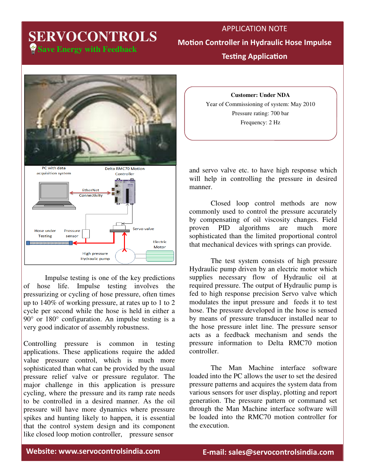# **Save Energy with Feedback SERVOCONTROLS**

APPLICATION NOTE **Motion Controller in Hydraulic Hose Impulse Testing Application** 



Impulse testing is one of the key predictions of hose life. Impulse testing involves the pressurizing or cycling of hose pressure, often times up to 140% of working pressure, at rates up to 1 to 2 cycle per second while the hose is held in either a 90° or 180° configuration. An impulse testing is a very good indicator of assembly robustness.

Controlling pressure is common in testing applications. These applications require the added value pressure control, which is much more sophisticated than what can be provided by the usual pressure relief valve or pressure regulator. The major challenge in this application is pressure cycling, where the pressure and its ramp rate needs to be controlled in a desired manner. As the oil pressure will have more dynamics where pressure spikes and hunting likely to happen, it is essential that the control system design and its component like closed loop motion controller, pressure sensor

**Customer: Under NDA** Year of Commissioning of system: May 2010 Pressure rating: 700 bar Frequency: 2 Hz

and servo valve etc. to have high response which will help in controlling the pressure in desired manner.

 Closed loop control methods are now commonly used to control the pressure accurately by compensating of oil viscosity changes. Field proven PID algorithms are much more sophisticated than the limited proportional control that mechanical devices with springs can provide.

 The test system consists of high pressure Hydraulic pump driven by an electric motor which supplies necessary flow of Hydraulic oil at required pressure. The output of Hydraulic pump is fed to high response precision Servo valve which modulates the input pressure and feeds it to test hose. The pressure developed in the hose is sensed by means of pressure transducer installed near to the hose pressure inlet line. The pressure sensor acts as a feedback mechanism and sends the pressure information to Delta RMC70 motion controller.

 The Man Machine interface software loaded into the PC allows the user to set the desired pressure patterns and acquires the system data from various sensors for user display, plotting and report generation. The pressure pattern or command set through the Man Machine interface software will be loaded into the RMC70 motion controller for the execution.